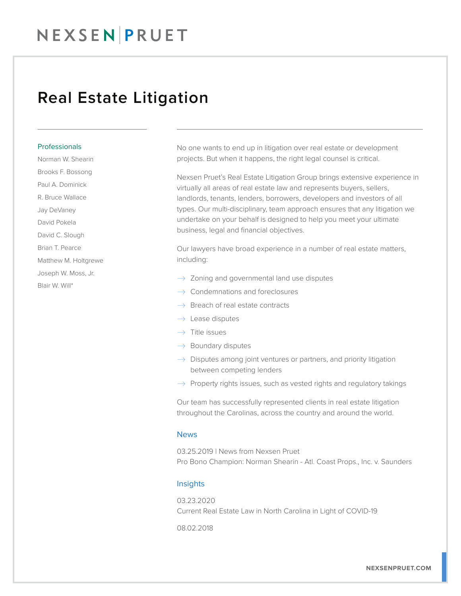## NEXSEN PRUET

### Real Estate Litigation

#### Professionals

Norman W. Shearin Brooks F. Bossong Paul A. Dominick R. Bruce Wallace Jay DeVaney David Pokela David C. Slough Brian T. Pearce Matthew M. Holtgrewe Joseph W. Moss, Jr. Blair W. Will\*

No one wants to end up in litigation over real estate or development projects. But when it happens, the right legal counsel is critical.

Nexsen Pruet's Real Estate Litigation Group brings extensive experience in virtually all areas of real estate law and represents buyers, sellers, landlords, tenants, lenders, borrowers, developers and investors of all types. Our multi-disciplinary, team approach ensures that any litigation we undertake on your behalf is designed to help you meet your ultimate business, legal and financial objectives.

Our lawyers have broad experience in a number of real estate matters, including:

- $\rightarrow$  Zoning and governmental land use disputes
- $\rightarrow$  Condemnations and foreclosures
- $\rightarrow$  Breach of real estate contracts
- $\rightarrow$  Lease disputes
- $\rightarrow$  Title issues
- $\rightarrow$  Boundary disputes
- $\rightarrow$  Disputes among joint ventures or partners, and priority litigation between competing lenders
- $\rightarrow$  Property rights issues, such as vested rights and regulatory takings

Our team has successfully represented clients in real estate litigation throughout the Carolinas, across the country and around the world.

#### **News**

03.25.2019 | News from Nexsen Pruet Pro Bono Champion: Norman Shearin - Atl. Coast Props., Inc. v. Saunders

#### **Insights**

03.23.2020 Current Real Estate Law in North Carolina in Light of COVID-19

08.02.2018